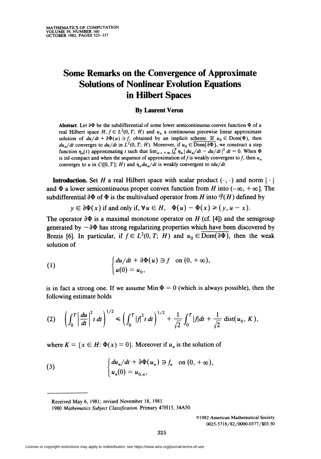## Some Remarks on the Convergence of Approximate Solutions of Nonlinear Evolution Equations in Hilbert Spaces

## By Laurent Veron

Abstract. Let  $\partial \Phi$  be the subdifferential of some lower semicontinuous convex function  $\Phi$  of a real Hilbert space H,  $f \in L^2(0, T; H)$  and  $u_n$  a continouous piecewise linear approximate solution of  $du/dt + \partial \Phi(u) \ni f$ , obtained by an implicit scheme. If  $u_0 \in \text{Dom}(\Phi)$ , then  $du_n/dt$  converges to  $du/dt$  in  $L^2(0, T; H)$ . Moreover, if  $u_0 \in \overline{\mathrm{Dom}(\partial \Phi)}$ , we construct a step function  $\eta_n(t)$  approximating t such that  $\lim_{n \to +\infty} \int_0^T \eta_n | du_n/dt - du/dt |^2 dt = 0$ . When  $\Phi$ is inf-compact and when the sequence of approximation of f is weakly convergent to f, then  $u_n$ converges to u in C([0, T]; H) and  $\eta_n du_n/dt$  is weakly convergent to  $tdu/dt$ .

**Introduction.** Set H a real Hilbert space with scalar product  $(\cdot, \cdot)$  and norm  $|\cdot|$ and  $\Phi$  a lower semicontinuous proper convex function from H into ( $-\infty$ ,  $+\infty$ ). The subdifferential  $\partial \Phi$  of  $\Phi$  is the multivalued operator from H into  $\mathcal{P}(H)$  defined by

 $y \in \partial \Phi(x)$  if and only if,  $\forall u \in H$ ,  $\Phi(u) - \Phi(x) \geq (y, u - x)$ .

The operator  $\partial \Phi$  is a maximal monotone operator on H (cf. [4]) and the semigroup generated by  $-\partial\Phi$  has strong regularizing properties which have been discovered by Brezis [6]. In particular, if  $f \in L^2(0, T; H)$  and  $u_0 \in \overline{\text{Dom}(\partial \Phi)}$ , then the weak solution of

(1) 
$$
\begin{cases} du/dt + \partial \Phi(u) \ni f \text{ on } (0, +\infty), \\ u(0) = u_0, \end{cases}
$$

is in fact a strong one. If we assume Min  $\Phi = 0$  (which is always possible), then the following estimate holds

(2) 
$$
\left(\int_0^T \left|\frac{du}{dt}\right|^2 t\, dt\right)^{1/2} \le \left(\int_0^T |f|^2 t\, dt\right)^{1/2} + \frac{1}{\sqrt{2}} \int_0^T |f| dt + \frac{1}{\sqrt{2}} \text{dist}(u_0, K),
$$

where  $K = \{x \in H: \Phi(x) = 0\}$ . Moreover if  $u_n$  is the solution of

(3) 
$$
\begin{cases} du_n/dt + \partial \Phi(u_n) \ni f_n & \text{on } (0, +\infty), \\ u_n(0) = u_{0,n}, \end{cases}
$$

Received May 6, 1981; revised November 18, 1981.

©1982 American Mathematical Society 0O25-5718/82/OOOO-0377/\$03.5O

<sup>1980</sup> Mathematics Subject Classification. Primary 47H15, 34A50.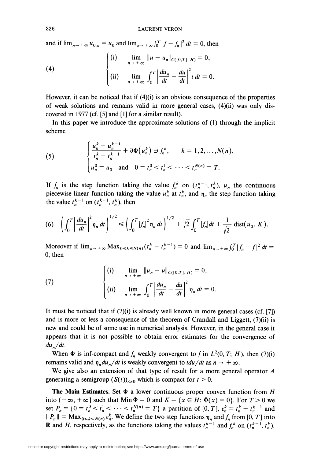and if  $\lim_{n \to \infty} u_{0,n} = u_0$  and  $\lim_{n \to \infty} \int_0^T |f - f_n|^2 dt = 0$ , then

(4) 
$$
\begin{cases} \text{(i)} & \lim_{n \to +\infty} \|u - u_n\|_{C([0,T];\,H)} = 0, \\ \text{(ii)} & \lim_{n \to +\infty} \int_0^T \left| \frac{du_n}{dt} - \frac{du}{dt} \right|^2 t \, dt = 0 \end{cases}
$$

However, it can be noticed that if  $(4)(i)$  is an obvious consequence of the properties of weak solutions and remains valid in more general cases, (4)(ii) was only discovered in 1977 (cf. [5] and [1] for a similar result).

In this paper we introduce the approximate solutions of (1) through the implicit scheme

(5) 
$$
\begin{cases} \frac{u_n^k - u_n^{k-1}}{t_n^k - t_n^{k-1}} + \partial \Phi(u_n^k) \ni f_n^k, & k = 1, 2, ..., N(n), \\ u_n^0 = u_0 \text{ and } 0 = t_n^0 < t_n^1 < \cdots < t_n^{N(n)} = T. \end{cases}
$$

If  $f_n$  is the step function taking the value  $f_n^k$  on  $(t_n^{k-1}, t_n^k)$ ,  $u_n$  the continuous piecewise linear function taking the value  $u_n^k$  at  $t_n^k$ , and  $\eta_n$  the step function taking the value  $t_n^{k-1}$  on  $(t_n^{k-1}, t_n^k)$ , then

(6) 
$$
\left(\int_0^T \left|\frac{du_n}{dt}\right|^2 \eta_n dt\right)^{1/2} \leq \left(\int_0^T \left|f_n\right|^2 \eta_n dt\right)^{1/2} + \sqrt{2} \int_0^T \left|f_n\right| dt + \frac{1}{\sqrt{2}} \text{ dist}(u_0, K).
$$

Moreover if  $\lim_{n\to+\infty}$  Max $_{0\leq k\leq N(n)}$  $(t_n^k - t_n^{k-1}) = 0$  and  $\lim_{n\to+\infty}$   $\int_0^T |f_n - f|^2 dt =$  $0,$  then

(7) 
$$
\begin{cases} (i) & \lim_{n \to +\infty} \|u_n - u\|_{C([0,T];\,H)} = 0, \\ (ii) & \lim_{n \to +\infty} \int_0^T \left| \frac{du_n}{dt} - \frac{du}{dt} \right|^2 \eta_n dt = 0 \end{cases}
$$

It must be noticed that if  $(7)(i)$  is already well known in more general cases (cf. [7]) and is more or less a consequence of the theorem of Crandall and Liggett,  $(7)(ii)$  is new and could be of some use in numerical analysis. However, in the general case it appears that it is not possible to obtain error estimates for the convergence of  $du_n/dt$ .

When  $\Phi$  is inf-compact and  $f_n$  weakly convergent to f in  $L^2(0, T; H)$ , then (7)(i) remains valid and  $\eta_n du_n/dt$  is weakly convergent to  $tdu/dt$  as  $n \to +\infty$ .

We give also an extension of that type of result for a more general operator  $A$ generating a semigroup  $(S(t))_{t\geq 0}$  which is compact for  $t > 0$ .

The Main Estimates. Set  $\Phi$  a lower continuous proper convex function from H into  $(-\infty, +\infty]$  such that Min  $\Phi = 0$  and  $K = \{x \in H: \Phi(x) = 0\}$ . For  $T > 0$  we set  $P_n = \{0 = t_n^0 < t_n^1 < \cdots < t_n^{N(n)} = T\}$  a partition of [0, T],  $\varepsilon_n^k = t_n^k - t_n^{k-1}$  and  $||P_n|| = Max_{0 \le k \le N(n)} \varepsilon_n^k$ . We define the two step functions  $\eta_n$  and  $f_n$  from [0, T] into **R** and *H*, respectively, as the functions taking the values  $t_n^{k-1}$  and  $f_n^k$  on  $(t_n^{k-1}, t_n^k)$ .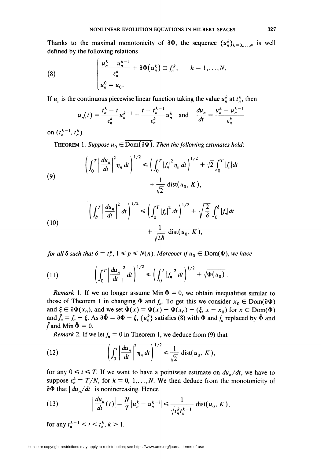Thanks to the maximal monotonicity of  $\partial \Phi$ , the sequence  $\{u_n^k\}_{k=0,\dots,N}$  is well defined by the following relations

(8) 
$$
\begin{cases} \frac{u_n^k - u_n^{k-1}}{\varepsilon_n^k} + \partial \Phi(u_n^k) \ni f_n^k, & k = 1, ..., N, \\ u_n^0 = u_0. & \end{cases}
$$

If  $u_n$  is the continuous piecewise linear function taking the value  $u_n^k$  at  $t_n^k$ , then

$$
u_n(t) = \frac{t_n^k - t}{\epsilon_n^k} u_n^{k-1} + \frac{t - t_n^{k-1}}{\epsilon_n^k} u_n^k \text{ and } \frac{du_n}{dt} = \frac{u_n^k - u_n^{k-1}}{\epsilon_n^k}
$$

on  $(t_n^{k-1}, t_n^k)$ .

THEOREM 1. Suppose  $u_0 \in \overline{\mathrm{Dom}(\partial \Phi)}$ . Then the following estimates hold:

(9) 
$$
\left(\int_0^T \left|\frac{du_n}{dt}\right|^2 \eta_n dt\right)^{1/2} \le \left(\int_0^T |f_n|^2 \eta_n dt\right)^{1/2} + \sqrt{2} \int_0^T |f_n| dt + \frac{1}{\sqrt{2}} \text{dist}(u_0, K),
$$

(10)  

$$
\left(\int_{\delta}^{T} \left|\frac{du_n}{dt}\right|^2 dt\right)^{1/2} \leq \left(\int_0^T \left|f_n\right|^2 dt\right)^{1/2} + \sqrt{\frac{2}{\delta}} \int_0^{\delta} |f_n| dt + \frac{1}{\sqrt{2\delta}} \text{dist}(u_0, K),
$$

for all  $\delta$  such that  $\delta = t_n^p$ ,  $1 \leq p \leq N(n)$ . Moreover if  $u_0 \in \text{Dom}(\Phi)$ , we have

(11) 
$$
\left(\int_0^T \left|\frac{du_n}{dt}\right|^2 dt\right)^{1/2} \le \left(\int_0^T \left|f_n\right|^2 dt\right)^{1/2} + \sqrt{\Phi(u_0)}.
$$

*Remark* 1. If we no longer assume Min  $\Phi = 0$ , we obtain inequalities similar to those of Theorem 1 in changing  $\Phi$  and  $f_n$ . To get this we consider  $x_0 \in \text{Dom}(\partial \Phi)$ and  $\xi \in \partial \Phi(x_0)$ , and we set  $\tilde{\Phi}(x) = \Phi(x) - \Phi(x_0) - (\xi, x - x_0)$  for  $x \in \text{Dom}(\Phi)$ and  $\tilde{f}_n = f_n - \xi$ . As  $\partial \tilde{\Phi} = \partial \Phi - \xi$ ,  $\{u_n^k\}$  satisfies (8) with  $\Phi$  and  $f_n$  replaced by  $\tilde{\Phi}$  and f and Min  $\Phi = 0$ .

*Remark* 2. If we let  $f_n = 0$  in Theorem 1, we deduce from (9) that

(12) 
$$
\left(\int_0^t \left|\frac{du_n}{dt}\right|^2 \eta_n dt\right)^{1/2} \leq \frac{1}{\sqrt{2}} \text{dist}(u_0, K),
$$

for any  $0 \le t \le T$ . If we want to have a pointwise estimate on  $du_n/dt$ , we have to suppose  $\varepsilon_n^k = T/N$ , for  $k = 0, 1, \ldots, N$ . We then deduce from the monotonicity of  $\partial \Phi$  that  $| du_n/dt |$  is nonincreasing. Hence

(13) 
$$
\left|\frac{du_n}{dt}(t)\right| = \frac{N}{T}|u_n^k - u_n^{k-1}| \leq \frac{1}{\sqrt{t_n^k t_n^{k-1}}} \text{ dist}(u_0, K),
$$

for any  $t_n^{k-1} < t < t_n^k$ ,  $k > 1$ .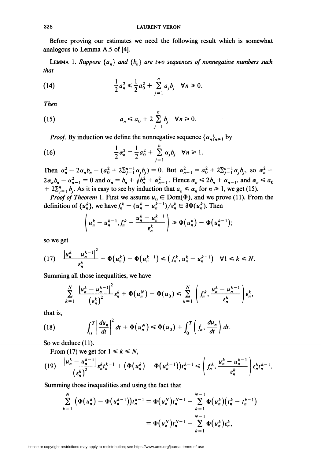Before proving our estimates we need the following result which is somewhat analogous to Lemma A.5 of [4].

**LEMMA** 1. Suppose  $\{a_n\}$  and  $\{b_n\}$  are two sequences of nonnegative numbers such that

(14) 
$$
\frac{1}{2}a_n^2 \leq \frac{1}{2}a_0^2 + \sum_{j=1}^n a_j b_j \quad \forall n \geq 0.
$$

**Then** 

(15) 
$$
a_n \leq a_0 + 2 \sum_{j=1}^n b_j \quad \forall n \geq 0
$$

*Proof.* By induction we define the nonnegative sequence  $\{\alpha_n\}_{n\geq 1}$  by

(16) 
$$
\frac{1}{2}\alpha_n^2 = \frac{1}{2}a_0^2 + \sum_{j=1}^n \alpha_j b_j \quad \forall n \ge 1.
$$

Then  $\alpha_n^2 - 2\alpha_n b_n - (a_0^2 + 2\Sigma_{i=1}^{n-1} \alpha_i b_i) = 0$ . But  $\alpha_{n-1}^2 = a_0^2 + 2\Sigma_{i=1}^{n-1} \alpha_i b_i$ , so  $\alpha_n^2$  $2\alpha_n b_n - \alpha_{n-1}^2 = 0$  and  $\alpha_n = b_n + \sqrt{b_n^2 + \alpha_{n-1}^2}$ . Hence  $\alpha_n \le 2b_n + \alpha_{n-1}$ , and  $\alpha_n \le a_0$ +  $2\sum_{j=1}^{n} b_j$ . As it is easy to see by induction that  $a_n \le \alpha_n$  for  $n \ge 1$ , we get (15).

*Proof of Theorem* 1. First we assume  $u_0 \in \text{Dom}(\Phi)$ , and we prove (11). From the definition of  $\{u_n^k\}$ , we have  $f_n^k - (u_n^k - u_n^{k-1})/\epsilon_n^k \in \partial \Phi(u_n^k)$ . Then

$$
\left(u_n^k-u_n^{k-1},f_n^k-\frac{u_n^k-u_n^{k-1}}{\varepsilon_n^k}\right)\geq \Phi(u_n^k)-\Phi(u_n^{k-1});
$$

so we get

$$
(17) \quad \frac{\left|u_n^k-u_n^{k-1}\right|^2}{\varepsilon_n^k}+\Phi\left(u_n^k\right)-\Phi\left(u_n^{k-1}\right)\leqslant \left(f_n^k,u_n^k-u_n^{k-1}\right) \quad \forall 1\leqslant k\leqslant N.
$$

Summing all those inequalities, we have

$$
\sum_{k=1}^N \frac{\left|u_n^k-u_n^{k-1}\right|^2}{\left(\epsilon_n^k\right)^2} \epsilon_n^k + \Phi\big(u_n^N\big) - \Phi\big(u_0\big) \leqslant \sum_{k=1}^N \left(f_n^k, \frac{u_n^k-u_n^{k-1}}{\epsilon_n^k}\right) \epsilon_n^k,
$$

that is,

(18) 
$$
\int_0^T \left| \frac{du_n}{dt} \right|^2 dt + \Phi(u_n^N) \leq \Phi(u_0) + \int_0^T \left( f_n, \frac{du_n}{dt} \right) dt.
$$

So we deduce  $(11)$ .

From (17) we get for  $1 \le k \le N$ ,

$$
(19) \quad \frac{|u_n^k - u_n^{k-1}|}{(\epsilon_n^k)^2} \epsilon_n^k t_n^{k-1} + \big(\Phi\big(u_n^k\big) - \Phi\big(u_n^{k-1}\big)\big) t_n^{k-1} \leqslant \left(f_n^k, \frac{u_n^k - u_n^{k-1}}{\epsilon_n^k}\right) \epsilon_n^k t_n^{k-1}.
$$

Summing those inequalities and using the fact that

$$
\sum_{k=1}^{N} (\Phi(u_n^k) - \Phi(u_n^{k-1}))t_n^{k-1} = \Phi(u_n^N)t_n^{N-1} - \sum_{k=1}^{N-1} \Phi(u_n^k)(t_n^k - t_n^{k-1})
$$
  
=  $\Phi(u_n^N)t_n^{N-1} - \sum_{k=1}^{N-1} \Phi(u_n^k)\epsilon_n^k$ ,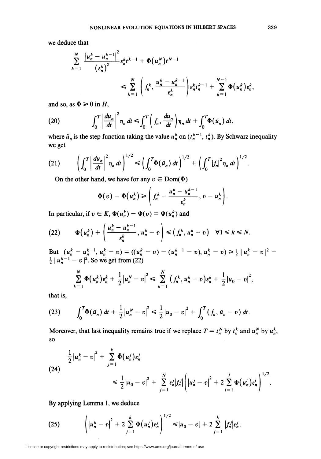we deduce that

$$
\sum_{k=1}^{N} \frac{|u_n^k - u_n^{k-1}|^2}{(e_n^k)^2} e_n^k t^{k-1} + \Phi(u_n^N) t^{N-1}
$$
\n
$$
\leq \sum_{k=1}^{N} \left( f_n^k, \frac{u_n^k - u_n^{k-1}}{e_n^k} \right) e_n^k t_n^{k-1} + \sum_{k=1}^{N-1} \Phi(u_n^k) e_n^k,
$$

and so, as  $\Phi \ge 0$  in H,

(20) 
$$
\int_0^T \left| \frac{du_n}{dt} \right|^2 \eta_n dt \leq \int_0^T \left( f_n, \frac{du_n}{dt} \right) \eta_n dt + \int_0^T \Phi(\tilde{u}_n) dt,
$$

where  $\tilde{u}_n$  is the step function taking the value  $u_n^k$  on  $(t_n^{k-1}, t_n^k)$ . By Schwarz inequality we get

(21) 
$$
\left(\int_0^T \left|\frac{du_n}{dt}\right|^2 \eta_n dt\right)^{1/2} \le \left(\int_0^T \Phi(\tilde{u}_n) dt\right)^{1/2} + \left(\int_0^T \left|f_n\right|^2 \eta_n dt\right)^{1/2}.
$$

On the other hand, we have for any  $v \in Dom(\Phi)$ 

$$
\Phi(v) - \Phi(u_n^k) \geqslant \left(f_n^k - \frac{u_n^k - u_n^{k-1}}{\varepsilon_n^k}, v - u_n^k\right).
$$

In particular, if  $v \in K$ ,  $\Phi(u_n^k) - \Phi(v) = \Phi(u_n^k)$  and

(22) 
$$
\Phi(u_n^k) + \left(\frac{u_n^k - u_n^{k-1}}{\varepsilon_n^k}, u_n^k - v\right) \leq (f_n^k, u_n^k - v) \quad \forall 1 \leq k \leq N.
$$

But  $(u_n^k - u_n^{k-1}, u_n^k - v) = ((u_n^k - v) - (u_n^{k-1} - v), u_n^k - v) \ge \frac{1}{2} |u_n^k - v|^2 - \frac{1}{2} |u_n^{k-1} - v|^2$ . So we get from (22)

$$
\sum_{k=1}^N \Phi(u_n^k) \epsilon_n^k + \frac{1}{2} |u_n^N - v|^2 \leq \sum_{k=1}^N (f_n^k, u_n^k - v) \epsilon_n^k + \frac{1}{2} |u_0 - v|^2,
$$

that is,

(23) 
$$
\int_0^T \Phi(\tilde{u}_n) dt + \frac{1}{2} |u_n^N - v|^2 \leq \frac{1}{2} |u_0 - v|^2 + \int_0^T (f_n, \tilde{u}_n - v) dt.
$$

Moreover, that last inequality remains true if we replace  $T = t_n^N$  by  $t_n^k$  and  $u_n^N$  by  $u_n^k$ , so

(24)  

$$
\frac{1}{2} |u_n^k - v|^2 + \sum_{j=1}^k \tilde{\Phi}(u_n^j) \varepsilon_n^j
$$
  

$$
\leq \frac{1}{2} |u_0 - v|^2 + \sum_{j=1}^N \varepsilon_n^j |f_n^j| \left( |u_n^j - v|^2 + 2 \sum_{i=1}^j \Phi(u_n^i) \varepsilon_n^i \right)^{1/2}.
$$

By applying Lemma 1, we deduce

(25) 
$$
\left( |u_n^k - v|^2 + 2 \sum_{j=1}^k \Phi(u_n^j) \epsilon_n^j \right)^{1/2} \le |u_0 - v| + 2 \sum_{j=1}^k |f_n^j| \epsilon_n^j.
$$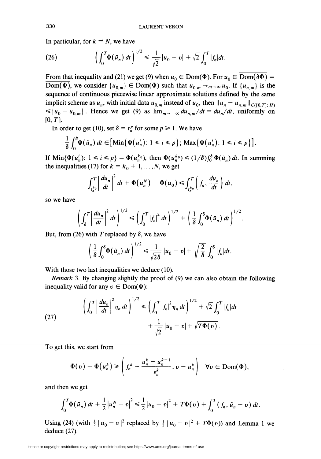In particular, for  $k = N$ , we have

(26) 
$$
\left(\int_0^T \Phi(\tilde{u}_n) dt\right)^{1/2} \leq \frac{1}{\sqrt{2}}|u_0 - v| + \sqrt{2} \int_0^T |f_n| dt.
$$

From that inequality and (21) we get (9) when  $u_0 \in Dom(\Phi)$ . For  $u_0 \in Dom(\partial \Phi)$  = Dom( $\Phi$ ), we consider  $\{u_{0,m}\}\in \text{Dom}(\Phi)$  such that  $u_{0,m}\to_{m\to\infty}u_0$ . If  $\{u_{n,m}\}$  is the sequence of continuous piecewise linear approximate solutions defined by the same implicit scheme as  $u_n$ , with initial data  $u_{0,m}$  instead of  $u_0$ , then  $||u_n - u_{n,m}||_{C([0,T]; H)}$  $\leq |u_0 - u_{0,m}|$ . Hence we get (9) as  $\lim_{m \to +\infty} du_{n,m}/dt = du_n/dt$ , uniformly on  $[0, T]$ .

In order to get (10), set  $\delta = t_n^p$  for some  $p \ge 1$ . We have

$$
\frac{1}{\delta}\int_0^\delta \Phi(\tilde{u}_n)\,dt\in\big[\mathrm{Min}\big\{\Phi\big(u_n^i\big)\colon 1\leq i\leq p\big\}\,;\,\mathrm{Max}\big\{\Phi\big(u_n^i\big)\colon 1\leq i\leq p\big\}\big].
$$

If  $\text{Min}\{\Phi(u_n^i): 1 \le i \le p\} = \Phi(u_n^{k_0})$ , then  $\Phi(u_n^{k_0}) \le (1/\delta)\int_0^\delta \Phi(\tilde{u}_n) dt$ . In summing the inequalities (17) for  $k = k_0 + 1, \ldots, N$ , we get

$$
\int_{t_n^{k_0}}^T \left| \frac{du_n}{dt} \right|^2 dt + \Phi(u_n^N) - \Phi(u_0) \leq \int_{t_n^{k_0}}^T \left( f_n, \frac{du_n}{dt} \right) dt,
$$

so we have

$$
\left(\int_{\delta}^{T}\left|\frac{du_{n}}{dt}\right|^{2}dt\right)^{1/2}\leqslant\left(\int_{0}^{T}\left|\int_{n}\right|^{2}dt\right)^{1/2}+\left(\frac{1}{\delta}\int_{0}^{\delta}\Phi(\tilde{u}_{n})dt\right)^{1/2}.
$$

But, from (26) with T replaced by  $\delta$ , we have

$$
\left(\frac{1}{\delta}\int_0^{\delta}\Phi(\tilde{u}_n)\,dt\right)^{1/2}\leq \frac{1}{\sqrt{2\delta}}\left|u_0-v\right|+\sqrt{\frac{2}{\delta}}\int_0^{\delta}\left|f_n\right|dt.
$$

With those two last inequalities we deduce (10).

Remark 3. By changing slightly the proof of (9) we can also obtain the following inequality valid for any  $v \in \text{Dom}(\Phi)$ :

(27) 
$$
\left(\int_0^T \left|\frac{du_n}{dt}\right|^2 \eta_n dt\right)^{1/2} \le \left(\int_0^T \left|f_n\right|^2 \eta_n dt\right)^{1/2} + \sqrt{2} \int_0^T \left|f_n\right| dt + \frac{1}{\sqrt{2}} |u_0 - v| + \sqrt{T \Phi(v)}.
$$

To get this, we start from

$$
\Phi(v) - \Phi(u_n^k) \ge \left(f_n^k - \frac{u_n^k - u_n^{k-1}}{\varepsilon_n^k}, v - u_n^k\right) \quad \forall v \in \text{Dom}(\Phi),
$$

and then we get

$$
\int_0^T \Phi(\tilde{u}_n) dt + \frac{1}{2} |u_n^N - v|^2 \leq \frac{1}{2} |u_0 - v|^2 + T\Phi(v) + \int_0^T (f_n, \tilde{u}_n - v) dt.
$$

Using (24) (with  $\frac{1}{2} | u_0 - v |^2$  replaced by  $\frac{1}{2} | u_0 - v |^2 + T \Phi(v)$ ) and Lemma 1 we deduce (27).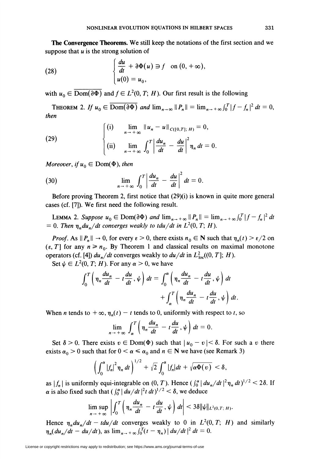The Convergence Theorems. We still keep the notations of the first section and we suppose that  $u$  is the strong solution of

(28) 
$$
\begin{cases} \frac{du}{dt} + \partial \Phi(u) \ni f \text{ on } (0, +\infty), \\ u(0) = u_0, \end{cases}
$$

with  $u_0 \in \overline{\mathrm{Dom}(\partial \Phi)}$  and  $f \in L^2(0, T; H)$ . Our first result is the following

THEOREM 2. If  $u_0 \in \overline{\mathrm{Dom}(\partial \Phi)}$  and  $\lim_{n \to \infty} \|P_n\| = \lim_{n \to \infty} \int_0^T |f - f_n|^2 dt = 0$ , then

(29) 
$$
\begin{cases} (i) & \lim_{n \to +\infty} \|u_n - u\|_{C([0,T];\,H)} = 0, \\ (ii) & \lim_{n \to +\infty} \int_0^T \left| \frac{du_n}{dt} - \frac{du}{dt} \right|^2 \eta_n dt = 0. \end{cases}
$$

Moreover, if  $u_0 \in \text{Dom}(\Phi)$ , then

(30) 
$$
\lim_{n \to +\infty} \int_0^T \left| \frac{du_n}{dt} - \frac{du}{dt} \right|^2 dt = 0.
$$

Before proving Theorem 2, first notice that  $(29)(i)$  is known in quite more general cases (cf. [7]). We first need the following result.

**LEMMA 2.** Suppose  $u_0 \in \text{Dom}(\partial \Phi)$  and  $\lim_{n \to +\infty} ||P_n|| = \lim_{n \to +\infty} \int_0^T |f - f_n|^2 dt$  $= 0$ . Then  $\eta_n du_n/dt$  converges weakly to tdu/dt in  $L^2(0, T; H)$ .

*Proof.* As  $||P_n|| \to 0$ , for every  $\epsilon > 0$ , there exists  $n_0 \in \mathbb{N}$  such that  $\eta_n(t) > \epsilon/2$  on  $(\varepsilon, T]$  for any  $n \ge n_0$ . By Theorem 1 and classical results on maximal monotone operators (cf. [4])  $du_n/dt$  converges weakly to  $du/dt$  in  $L^2_{loc}((0, T]; H)$ .

Set  $\psi \in L^2(0, T; H)$ . For any  $\alpha > 0$ , we have

$$
\int_0^T \left( \eta_n \frac{du_n}{dt} - t \frac{du}{dt}, \psi \right) dt = \int_0^{\alpha} \left( \eta_n \frac{du_n}{dt} - t \frac{du}{dt}, \psi \right) dt + \int_{\alpha}^T \left( \eta_n \frac{du_n}{dt} - t \frac{du}{dt}, \psi \right) dt.
$$

When *n* tends to  $+\infty$ ,  $\eta_n(t) - t$  tends to 0, uniformly with respect to *t*, so

$$
\lim_{n \to +\infty} \int_{\alpha}^{T} \left( \eta_n \frac{du_n}{dt} - t \frac{du}{dt}, \psi \right) dt = 0.
$$

Set  $\delta > 0$ . There exists  $v \in Dom(\Phi)$  such that  $|u_0 - v| < \delta$ . For such a v there exists  $\alpha_0 > 0$  such that for  $0 < \alpha \le \alpha_0$  and  $n \in \mathbb{N}$  we have (see Remark 3)

$$
\left(\int_0^{\alpha} \left|f_n\right|^2 \eta_n \, dt\right)^{1/2} + \sqrt{2} \int_0^{\alpha} \left|f_n\right| \, dt + \sqrt{\alpha \Phi(v)} < \delta,
$$

as  $|f_n|$  is uniformly equi-integrable on  $(0, T)$ . Hence  $(\int_0^{\alpha} | du_n/dt|^2 \eta_n dt)^{1/2} < 2\delta$ . If  $\alpha$  is also fixed such that  $\left( \int_0^{\alpha} \frac{du}{dt} \right)^2 t^2 dt$ , we deduce

$$
\limsup_{n\to+\infty}\left|\int_0^T\left(\eta_n\frac{du_n}{dt}-t\frac{du}{dt},\psi\right)dt\right|<3\delta\|\psi\|_{L^2(0,T;\,H)}.
$$

Hence  $\eta_n du_n/dt - tdu/dt$  converges weakly to 0 in  $L^2(0, T; H)$  and similarly  $\eta_n(du_n/dt - du/dt)$ , as  $\lim_{n \to +\infty} \int_0^T(t - \eta_n) | du/dt |^2 dt = 0.$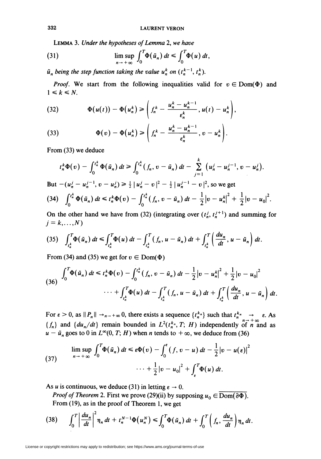LEMMA 3. Under the hypotheses of Lemma 2, we have

(31) 
$$
\limsup_{n \to +\infty} \int_0^T \Phi(\tilde{u}_n) dt \leq \int_0^T \Phi(u) dt,
$$

 $\tilde{u}_n$  being the step function taking the value  $u_n^k$  on  $(t_n^{k-1}, t_n^k)$ .

*Proof.* We start from the following inequalities valid for  $v \in Dom(\Phi)$  and  $1 \leq k \leq N$ .

(32) 
$$
\Phi(u(t)) - \Phi(u_n^k) \ge \left(f_n^k - \frac{u_n^k - u_n^{k-1}}{\varepsilon_n^k}, u(t) - u_n^k\right),
$$

(33) 
$$
\Phi(v) - \Phi(u_n^k) \ge \left(f_n^k - \frac{u_n^k - u_n^{k-1}}{\varepsilon_n^k}, v - u_n^k\right).
$$

From (33) we deduce

$$
t_n^k \Phi(v) - \int_0^{t_n^k} \Phi(\tilde{u}_n) dt \ge \int_0^{t_n^k} (f_n, v - \tilde{u}_n) dt - \sum_{j=1}^k (u_n^j - u_n^{j-1}, v - u_n^j).
$$
  
But  $-(u_n^j - u_n^{j-1}, v - u_n^j) \ge \frac{1}{2} |u_n^j - v|^2 - \frac{1}{2} |u_n^{j-1} - v|^2$ , so we get  
(34)  $\int_0^{t_n^k} \Phi(\tilde{u}_n) dt \le t_n^k \Phi(v) - \int_0^{t_n^k} (f_n, v - \tilde{u}_n) dt - \frac{1}{2} |v - u_n^k|^2 + \frac{1}{2} |v - u_0|^2$ .

On the other hand we have from (32) (integrating over  $(t_n^j, t_n^{j+1})$  and summing for  $j = k, \ldots, N$ 

$$
(35) \quad \int_{t_n^k}^T \Phi(\tilde{u}_n) dt \leq \int_{t_n^k}^T \Phi(u) dt - \int_{t_n^k}^T (f_n, u - \tilde{u}_n) dt + \int_{t_n^k}^T \left(\frac{du_n}{dt}, u - \tilde{u}_n\right) dt.
$$

From (34) and (35) we get for  $v \in Dom(\Phi)$ 

$$
(36) \int_0^T \Phi(\tilde{u}_n) dt \leq t_n^k \Phi(v) - \int_0^{t_n^k} (f_n, v - \tilde{u}_n) dt - \frac{1}{2} |v - u_n^k|^2 + \frac{1}{2} |v - u_0|^2
$$
  

$$
\cdots + \int_{t_n^k}^T \Phi(u) dt - \int_{t_n^k}^T (f_n, u - \tilde{u}_n) dt + \int_{t_n^k}^T \left(\frac{du_n}{dt}, u - \tilde{u}_n\right) dt.
$$

For  $\varepsilon > 0$ , as  $||P_n|| \to_{n \to +\infty} 0$ , there exists a sequence  $\{t_n^{k_n}\}$  such that  $t_n^{k_n} \to \varepsilon$ . As  $\{f_n\}$  and  $\{du_n/dt\}$  remain bounded in  $L^2(t_n^k, T; H)$  independently of n and as  $u - \tilde{u}_n$  goes to 0 in  $L^{\infty}(0, T; H)$  when *n* tends to  $+\infty$ , we deduce from (36)

(37) 
$$
\limsup_{n \to +\infty} \int_0^T \Phi(\tilde{u}_n) dt \leq \epsilon \Phi(v) - \int_0^{\epsilon} (f, v - u) dt - \frac{1}{2} |v - u(\epsilon)|^2
$$

$$
\cdots + \frac{1}{2} |v - u_0|^2 + \int_{\epsilon}^T \Phi(u) dt.
$$

As u is continuous, we deduce (31) in letting  $\varepsilon \to 0$ .

*Proof of Theorem* 2. First we prove (29)(ii) by supposing  $u_0 \in \overline{\mathrm{Dom}(\partial \Phi)}$ . From  $(19)$ , as in the proof of Theorem 1, we get

$$
(38) \qquad \int_0^T \left|\frac{du_n}{dt}\right|^2 \eta_n \, dt + t_n^{N-1} \Phi\big(u_n^N\big) \leqslant \int_0^T \Phi\big(\tilde{u}_n\big) \, dt + \int_0^T \left(f_n, \frac{du_n}{dt}\right) \eta_n \, dt.
$$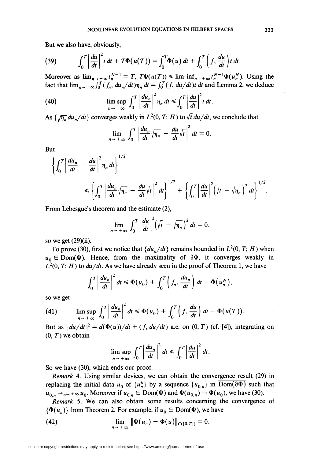But we also have, obviously,

(39) 
$$
\int_0^T \left| \frac{du}{dt} \right|^2 t \, dt + T \Phi(u(T)) = \int_0^T \Phi(u) \, dt + \int_0^T \left( f, \frac{du}{dt} \right) t \, dt.
$$

Moreover as  $\lim_{n \to +\infty} t_n^{N-1} = T$ ,  $T\Phi(u(T)) \leq \liminf_{n \to +\infty} t_n^{N-1}\Phi(u_n^N)$ . Using the fact that  $\lim_{n \to +\infty} \int_0^T (f_n, du_n/dt)\eta_n dt = \int_0^T (f, du/dt)dt$  dt and Lemma 2, we deduce

(40) 
$$
\limsup_{n \to +\infty} \int_0^T \left| \frac{du_n}{dt} \right|^2 \eta_n dt \leq \int_0^T \left| \frac{du}{dt} \right|^2 t dt.
$$

As  $\{\sqrt{\eta_n} du_n/dt\}$  converges weakly in  $L^2(0, T; H)$  to  $\sqrt{t} du/dt$ , we conclude that

$$
\lim_{n\to+\infty}\int_0^T\left|\frac{du_n}{dt}\sqrt{\eta_n}-\frac{du}{dt}\sqrt{t}\right|^2dt=0.
$$

But

$$
\left\{\int_0^T \left|\frac{du_n}{dt} - \frac{du}{dt}\right|^2 \eta_n dt\right\}^{1/2}
$$
\n
$$
\leq \left\{\int_0^T \left|\frac{du_n}{dt}\sqrt{\eta_n} - \frac{du}{dt}\sqrt{t}\right|^2 dt\right\}^{1/2} + \left\{\int_0^T \left|\frac{du}{dt}\right|^2 \left(\sqrt{t} - \sqrt{\eta_n}\right)^2 dt\right\}^{1/2}.
$$

From Lebesgue's theorem and the estimate (2),

$$
\lim_{n\to+\infty}\int_0^T\left|\frac{du}{dt}\right|^2\left(\sqrt{t}-\sqrt{\eta_n}\right)^2dt=0,
$$

so we get  $(29)(ii)$ .

To prove (30), first we notice that  $\{du_n/dt\}$  remains bounded in  $L^2(0, T; H)$  when  $u_0 \in \text{Dom}(\Phi)$ . Hence, from the maximality of  $\partial \Phi$ , it converges weakly in  $L^2(0, T; H)$  to  $du/dt$ . As we have already seen in the proof of Theorem 1, we have

$$
\int_0^T \left| \frac{du_n}{dt} \right|^2 dt \leq \Phi(u_0) + \int_0^T \left( f_n, \frac{du_n}{dt} \right) dt - \Phi(u_n^N),
$$

so we get

(41) 
$$
\limsup_{n \to +\infty} \int_0^T \left| \frac{du_n}{dt} \right|^2 dt \leq \Phi(u_0) + \int_0^T \left( f, \frac{du}{dt} \right) dt - \Phi(u(T)).
$$

But as  $|du/dt|^2 = d(\Phi(u))/dt + (f, du/dt)$  a.e. on  $(0, T)$  (cf. [4]), integrating on  $(0, T)$  we obtain

$$
\limsup_{n \to +\infty} \int_0^T \left| \frac{du_n}{dt} \right|^2 dt \le \int_0^T \left| \frac{du}{dt} \right|^2 dt.
$$

So we have (30), which ends our proof.

Remark 4. Using similar devices, we can obtain the convergence result (29) in replacing the initial data  $u_0$  of  $\{u_n^k\}$  by a sequence  $\{u_{0,n}\}$  in  $\overline{\mathrm{Dom}(\partial \Phi)}$  such that  $u_{0,n} \rightarrow_{n \rightarrow +\infty} u_0$ . Moreover if  $u_{0,n} \in \text{Dom}(\Phi)$  and  $\Phi(u_{0,n}) \rightarrow \Phi(u_0)$ , we have (30).

Remark 5. We can also obtain some results concerning the convergence of  $\{\Phi(u_n)\}\$  from Theorem 2. For example, if  $u_0 \in \text{Dom}(\Phi)$ , we have

(42) 
$$
\lim_{n \to +\infty} \|\Phi(u_n) - \Phi(u)\|_{C([0,T])} = 0.
$$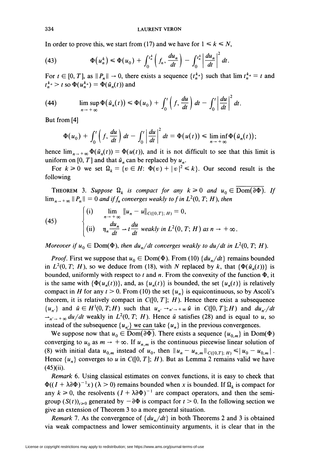**LAURENT VERON** 

In order to prove this, we start from (17) and we have for  $1 \le k \le N$ ,

(43) 
$$
\Phi(u_n^k) \leq \Phi(u_0) + \int_0^{t_n^k} \left(f_n, \frac{du_n}{dt}\right) - \int_0^{t_n^k} \left|\frac{du_n}{dt}\right|^2 dt.
$$

For  $t \in [0, T]$ , as  $||P_n|| \to 0$ , there exists a sequence  $\{t_n^{k_n}\}\$  such that  $\lim t_n^{k_n} = t$  and  $t_n^{k_n} > t$  so  $\Phi(u_n^{k_n}) = \Phi(\tilde{u}_n(t))$  and

(44) 
$$
\limsup_{n \to +\infty} \Phi(\tilde{u}_n(t)) \leq \Phi(u_0) + \int_0^t \left(f, \frac{du}{dt}\right) dt - \int_0^t \left|\frac{du}{dt}\right|^2 dt.
$$

But from [4]

$$
\Phi(u_0)+\int_0^t\left(f,\frac{du}{dt}\right)dt-\int_0^t\left|\frac{du}{dt}\right|^2dt=\Phi(u(t))\leq \liminf_{n\to+\infty}\Phi(\tilde{u}_n(t));
$$

hence  $\lim_{n\to+\infty}\Phi(\tilde{u}_n(t))=\Phi(u(t))$ , and it is not difficult to see that this limit is uniform on [0, T] and that  $\tilde{u}_n$  can be replaced by  $u_n$ .

For  $k \ge 0$  we set  $\Omega_k = \{v \in H: \Phi(v) + |v|^2 \le k\}$ . Our second result is the following

**THEOREM** 3. Suppose  $\Omega_k$  is compact for any  $k \ge 0$  and  $u_0 \in \overline{\mathrm{Dom}(\partial \Phi)}$ . If  $\lim_{n\to+\infty}$   $||P_n|| = 0$  and if  $f_n$  converges weakly to f in  $L^2(0, T; H)$ , then

(45) 
$$
\begin{cases} \text{(i)} & \lim_{n \to +\infty} \|u_n - u\|_{C([0,T];\,H)} = 0, \\ \text{(ii)} & \eta_n \frac{du_n}{dt} \to t \frac{du}{dt} \text{ weakly in } L^2(0,T;\,H) \text{ as } n \to +\infty \end{cases}
$$

Moreover if  $u_0 \in \text{Dom}(\Phi)$ , then  $du_n/dt$  converges weakly to  $du/dt$  in  $L^2(0, T; H)$ .

*Proof.* First we suppose that  $u_0 \in \text{Dom}(\Phi)$ . From (10)  $\{du_n/dt\}$  remains bounded in  $L^2(0, T; H)$ , so we deduce from (18), with N replaced by k, that  $\{\Phi(\tilde{u}_n(t))\}$  is bounded, uniformly with respect to t and n. From the convexity of the function  $\Phi$ , it is the same with  $\{\Phi(u_n(t))\}$ , and, as  $\{u_n(t)\}$  is bounded, the set  $\{u_n(t)\}$  is relatively compact in H for any  $t > 0$ . From (10) the set  $\{u_n\}$  is equicontinuous, so by Ascoli's theorem, it is relatively compact in  $C([0, T]; H)$ . Hence there exist a subsequence  $\{u_{n'}\}\$  and  $\tilde{u} \in H^1(0,T;H)$  such that  $u_{n'} \rightarrow u \rightarrow +\infty \tilde{u}$  in  $C([0,T];H)$  and  $du_{n'}/dt$  $\rightarrow_{n' \to +\infty} du/dt$  weakly in  $L^2(0, T; H)$ . Hence  $\tilde{u}$  satisfies (28) and is equal to u, so instead of the subsequence  $\{u_{n'}\}$  we can take  $\{u_{n}\}\$ in the previous convergences.

We suppose now that  $u_0 \in \overline{\text{Dom}(\partial \Phi)}$ . There exists a sequence  $\{u_{0,m}\}\$ in Dom $(\Phi)$ converging to  $u_0$  as  $m \to +\infty$ . If  $u_{n,m}$  is the continuous piecewise linear solution of (8) with initial data  $u_{0,m}$  instead of  $u_0$ , then  $||u_n - u_{n,m}||_{C([0,T]; H)} \le ||u_0 - u_{0,m}||$ . Hence  $\{u_n\}$  converges to u in  $C([0, T]; H)$ . But as Lemma 2 remains valid we have  $(45)(ii)$ .

Remark 6. Using classical estimates on convex functions, it is easy to check that  $\Phi((I + \lambda \partial \Phi)^{-1}x)$  ( $\lambda > 0$ ) remains bounded when x is bounded. If  $\Omega_k$  is compact for any  $k \ge 0$ , the resolvents  $(I + \lambda \partial \Phi)^{-1}$  are compact operators, and then the semigroup  $(S(t))_{t\geq 0}$  generated by  $-\partial \Phi$  is compact for  $t > 0$ . In the following section we give an extension of Theorem 3 to a more general situation.

*Remark* 7. As the convergence of  $\{du_n/dt\}$  in both Theorems 2 and 3 is obtained via weak compactness and lower semicontinuity arguments, it is clear that in the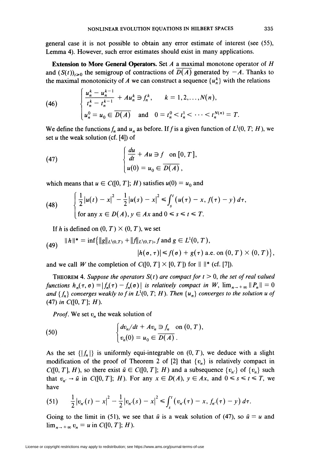general case it is not possible to obtain any error estimate of interest (see (55), Lemma 4). However, such error estimates should exist in many applications.

Extension to More General Operators. Set  $A$  a maximal monotone operator of  $H$ and  $(S(t))_{t\geq0}$  the semigroup of contractions of  $D(A)$  generated by  $-A$ . Thanks to the maximal monotonicity of A we can construct a sequence  $\{u_n^k\}$  with the relations

(46) 
$$
\begin{cases} \frac{u_n^k - u_n^{k-1}}{t_n^k - t_n^{k-1}} + A u_n^k \ni f_n^k, & k = 1, 2, ..., N(n), \\ u_n^0 = u_0 \in \overline{D(A)} \text{ and } 0 = t_n^0 < t_n^1 < \cdots < t_n^{N(n)} = T. \end{cases}
$$

We define the functions  $f_n$  and  $u_n$  as before. If f is a given function of  $L^1(0, T; H)$ , we set u the weak solution (cf.  $[4]$ ) of

(47) 
$$
\begin{cases} \frac{du}{dt} + Au \supseteq f \quad \text{on } [0, T], \\ u(0) = u_0 \in \overline{D(A)}, \end{cases}
$$

which means that  $u \in C([0, T]; H)$  satisfies  $u(0) = u_0$  and

(48) 
$$
\begin{cases} \frac{1}{2} |u(t) - x|^2 - \frac{1}{2} |u(s) - x|^2 \leq \int_s^t (u(\tau) - x, f(\tau) - y) d\tau, \\ \text{for any } x \in D(A), y \in Ax \text{ and } 0 \leq s \leq t \leq T. \end{cases}
$$

If h is defined on  $(0, T) \times (0, T)$ , we set

(49) 
$$
||h||^* = \inf \{ ||g||_{L^1(0,T)} + ||f||_{L^1(0,T)}, f \text{ and } g \in L^1(0,T),
$$

$$
|h(\sigma, \tau)| \le f(\sigma) + g(\tau) \text{ a.e. on } (0,T) \times (0,T) \},
$$

and we call W the completion of  $C([0, T] \times [0, T])$  for  $\|\cdot\|$ \* (cf. [7]).

THEOREM 4. Suppose the operators  $S(t)$  are compact for  $t > 0$ , the set of real valued functions  $h_n(\tau,\sigma) = |f_n(\tau) - f_n(\sigma)|$  is relatively compact in W,  $\lim_{n \to +\infty} ||P_n|| = 0$ and  $\{f_n\}$  converges weakly to f in  $L^1(0, T; H)$ . Then  $\{u_n\}$  converges to the solution u of (47) in  $C([0, T]; H)$ .

*Proof.* We set  $v_n$  the weak solution of

(50) 
$$
\begin{cases} dv_n/dt + Av_n \supseteq f_n \text{ on } (0, T), \\ v_n(0) = u_0 \in \overline{D(A)}. \end{cases}
$$

As the set  $\{|f_n|\}$  is uniformly equi-integrable on  $(0, T)$ , we deduce with a slight modification of the proof of Theorem 2 of [2] that  $\{v_n\}$  is relatively compact in  $C([0, T], H)$ , so there exist  $\tilde{u} \in C([0, T]; H)$  and a subsequence  $\{v_{n'}\}$  of  $\{v_{n}\}\$  such that  $v_{n'} \rightarrow \tilde{u}$  in  $C([0, T]; H)$ . For any  $x \in D(A)$ ,  $y \in Ax$ , and  $0 \le s \le t \le T$ , we have

(51) 
$$
\frac{1}{2}|v_{n'}(t)-x|^2-\frac{1}{2}|v_{n'}(s)-x|^2\leq \int_{s}^{t}(v_{n'}(\tau)-x,f_{n'}(\tau)-y) d\tau.
$$

Going to the limit in (51), we see that  $\tilde{u}$  is a weak solution of (47), so  $\tilde{u} = u$  and  $\lim_{n \to +\infty} v_n = u$  in  $C([0, T]; H)$ .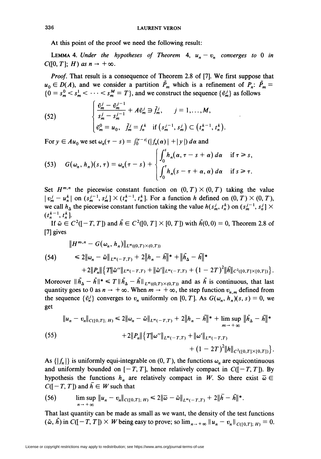At this point of the proof we need the following result:

LEMMA 4. Under the hypotheses of Theorem 4,  $u_n - v_n$  converges to 0 in  $C([0, T]; H)$  as  $n \to +\infty$ .

*Proof.* That result is a consequence of Theorem 2.8 of [7]. We first suppose that  $u_0 \in D(A)$ , and we consider a partition  $\tilde{P}_m$  which is a refinement of  $P_n$ :  $\tilde{P}_m =$  $\{0 = s_m^0 < s_m^1 < \cdots < s_m^M = T\}$ , and we construct the sequence  $\{\tilde{v}_m^j\}$  as follows

(52) 
$$
\begin{cases} \frac{\tilde{v}_m^j - \tilde{v}_m^{j-1}}{s_m^j - s_m^{j-1}} + A \tilde{v}_m^j \ni \tilde{f}_m^j, \quad j = 1, ..., M, \\ \tilde{v}_m^0 = u_0, \quad \tilde{f}_m^j = f_n^k \quad \text{if } (s_m^{j-1}, s_m^j) \subset (t_n^{k-1}, t_n^k). \end{cases}
$$

For  $y \in Au_0$  we set  $\omega_n(\tau - s) = \int_0^{|\tau - s|} (|f_n(\alpha)| + |y|) d\alpha$  and

(53) 
$$
G(\omega_n, h_n)(s, \tau) = \omega_n(\tau - s) + \begin{cases} \int_0^s h_n(\alpha, \tau - s + \alpha) d\alpha & \text{if } \tau \geq s, \\ \int_0^{\tau} h_n(s - \tau + \alpha, \alpha) d\alpha & \text{if } s \geq \tau. \end{cases}
$$

Set  $H^{m,n}$  the piecewise constant function on  $(0, T) \times (0, T)$  taking the value  $|v_m^j - u_n^k|$  on  $(s_m^{j-1}, s_m^j] \times (t_n^{k-1}, t_n^k)$ . For a function h defined on  $(0, T) \times (0, T)$ , we call  $h_{\Delta}$  the piecewise constant function taking the value  $h(s_m^j, t_n^k)$  on  $(s_m^{j-1}, s_n^j] \times$  $(t_n^{k-1}, t_n^k].$ 

If  $\tilde{\omega} \in C^2([-T, T])$  and  $\tilde{h} \in C^2([0, T] \times [0, T])$  with  $\tilde{h}(0, 0) = 0$ , Theorem 2.8 of  $[7]$  gives

$$
||H^{m,n} - G(\omega_n, h_n)||_{L^{\infty}((0,T)\times(0,T))}
$$
  
\n
$$
\leq 2||\omega_n - \tilde{\omega}||_{L^{\infty}(-T,T)} + 2||h_n - \tilde{h}||^* + ||\tilde{h}_{\Delta} - \tilde{h}||^*
$$
  
\n
$$
+ 2||P_n||\{T||\tilde{\omega}''||_{L^{\infty}(-T,T)} + ||\tilde{\omega}'||_{L^{\infty}(-T,T)} + (1 - 2T)^2||\tilde{h}||_{C^2([0,T]\times[0,T])}\}.
$$

Moreover  $||h_{\Delta} - h||^* \le T ||h_{\Delta} - h||_{L^{\infty}(0,T) \times (0,T)}$  and as h is continuous, that last quantity goes to 0 as  $n \to +\infty$ . When  $m \to +\infty$ , the step function  $v_{n,m}$  defined from the sequence  $\{\tilde{v}_n^j\}$  converges to  $v_n$  uniformly on [0, T]. As  $G(\omega_n, h_n)(s, s) = 0$ , we get

$$
||u_n - v_n||_{C([0,T];\,H)} \le 2||\omega_n - \tilde{\omega}||_{L^{\infty}(-T,T)} + 2||h_n - \tilde{h}||^* + \limsup_{m \to +\infty} ||\tilde{h}_{\Delta} - \tilde{h}||^*
$$
  
(55)  

$$
+ 2||P_n||\{T||\omega''||_{L^{\infty}(-T,T)} + ||\omega'||_{L^{\infty}(-T,T)} + (1 - 2T)^2||h||_{C^2([0,T]\times[0,T])}\}
$$

As  $\{|f_n|\}$  is uniformly equi-integrable on  $(0, T)$ , the functions  $\omega_n$  are equicontinuous and uniformly bounded on  $[-T, T]$ , hence relatively compact in  $C([-T, T])$ . By hypothesis the functions  $h_n$  are relatively compact in W. So there exist  $\overline{\omega} \in$  $C([-T, T])$  and  $\overline{h} \in W$  such that

(56) 
$$
\limsup_{n \to +\infty} \|u_n - v_n\|_{C([0,T];\,H)} \leq 2 \|\bar{\omega} - \tilde{\omega}\|_{L^{\infty}(-T,T)} + 2 \|\bar{h} - \tilde{h}\|^{*}.
$$

That last quantity can be made as small as we want, the density of the test functions  $(\tilde{\omega}, \tilde{h})$  in  $C([-T, T]) \times W$  being easy to prove; so  $\lim_{n \to +\infty} ||u_n - v_n||_{C([0, T]; H)} = 0$ .